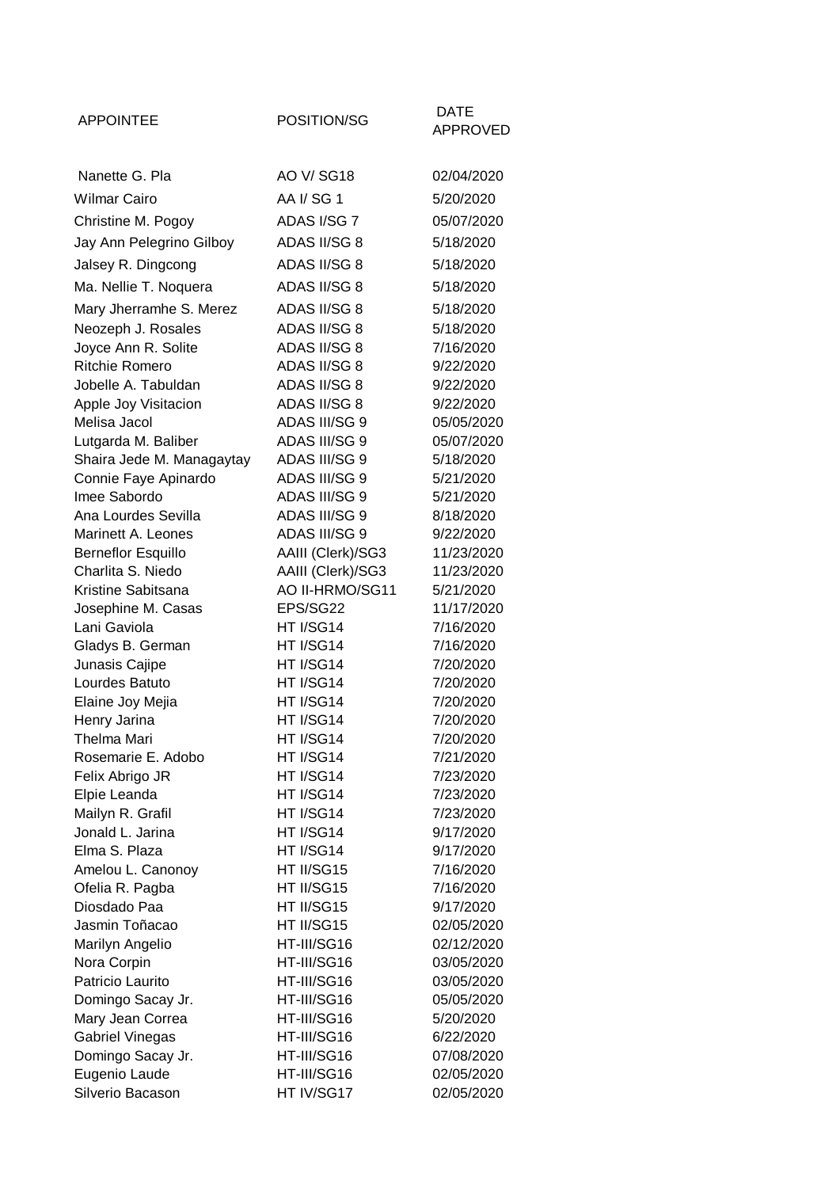| <b>APPOINTEE</b>                   | POSITION/SG                | DATE                    |
|------------------------------------|----------------------------|-------------------------|
|                                    |                            | <b>APPROVED</b>         |
|                                    |                            |                         |
| Nanette G. Pla                     | AO V/ SG18                 | 02/04/2020              |
| <b>Wilmar Cairo</b>                | AA I/SG1                   | 5/20/2020               |
| Christine M. Pogoy                 | ADAS I/SG 7                | 05/07/2020              |
| Jay Ann Pelegrino Gilboy           | ADAS II/SG 8               | 5/18/2020               |
| Jalsey R. Dingcong                 | ADAS II/SG 8               | 5/18/2020               |
| Ma. Nellie T. Noquera              | ADAS II/SG 8               | 5/18/2020               |
| Mary Jherramhe S. Merez            | ADAS II/SG 8               | 5/18/2020               |
| Neozeph J. Rosales                 | ADAS II/SG 8               | 5/18/2020               |
| Joyce Ann R. Solite                | ADAS II/SG 8               | 7/16/2020               |
| <b>Ritchie Romero</b>              | ADAS II/SG 8               | 9/22/2020               |
| Jobelle A. Tabuldan                | ADAS II/SG 8               | 9/22/2020               |
| Apple Joy Visitacion               | ADAS II/SG 8               | 9/22/2020               |
| Melisa Jacol                       | ADAS III/SG 9              | 05/05/2020              |
| Lutgarda M. Baliber                | ADAS III/SG 9              | 05/07/2020              |
| Shaira Jede M. Managaytay          | ADAS III/SG 9              | 5/18/2020               |
| Connie Faye Apinardo               | ADAS III/SG 9              | 5/21/2020               |
| Imee Sabordo                       | ADAS III/SG 9              | 5/21/2020               |
| Ana Lourdes Sevilla                | ADAS III/SG 9              | 8/18/2020               |
| Marinett A. Leones                 | ADAS III/SG 9              | 9/22/2020               |
| <b>Berneflor Esquillo</b>          | AAIII (Clerk)/SG3          | 11/23/2020              |
| Charlita S. Niedo                  | AAIII (Clerk)/SG3          | 11/23/2020              |
| Kristine Sabitsana                 | AO II-HRMO/SG11            | 5/21/2020               |
| Josephine M. Casas                 | EPS/SG22                   | 11/17/2020              |
| Lani Gaviola                       | HT I/SG14                  | 7/16/2020               |
| Gladys B. German                   | HT I/SG14                  | 7/16/2020               |
| Junasis Cajipe                     | HT I/SG14                  | 7/20/2020               |
| Lourdes Batuto                     | HT I/SG14                  | 7/20/2020               |
| Elaine Joy Mejia                   | HT I/SG14                  | 7/20/2020               |
| Henry Jarina                       | HT I/SG14                  | 7/20/2020               |
| Thelma Mari                        | HT I/SG14                  | 7/20/2020               |
| Rosemarie E. Adobo                 | HT I/SG14                  | 7/21/2020               |
| Felix Abrigo JR                    | HT I/SG14                  | 7/23/2020               |
| Elpie Leanda                       | HT I/SG14                  | 7/23/2020               |
| Mailyn R. Grafil                   | HT I/SG14                  | 7/23/2020               |
| Jonald L. Jarina                   | HT I/SG14                  | 9/17/2020               |
| Elma S. Plaza                      | HT I/SG14                  | 9/17/2020               |
| Amelou L. Canonoy                  | HT II/SG15                 | 7/16/2020               |
| Ofelia R. Pagba                    | HT II/SG15                 | 7/16/2020               |
| Diosdado Paa                       | HT II/SG15                 | 9/17/2020               |
| Jasmin Toñacao                     | HT II/SG15                 | 02/05/2020              |
| Marilyn Angelio                    | HT-III/SG16                | 02/12/2020              |
| Nora Corpin                        | HT-III/SG16                | 03/05/2020              |
| Patricio Laurito                   | HT-III/SG16                | 03/05/2020              |
| Domingo Sacay Jr.                  | HT-III/SG16                | 05/05/2020              |
| Mary Jean Correa                   | HT-III/SG16                | 5/20/2020               |
| <b>Gabriel Vinegas</b>             | HT-III/SG16<br>HT-III/SG16 | 6/22/2020<br>07/08/2020 |
| Domingo Sacay Jr.<br>Eugenio Laude | HT-III/SG16                | 02/05/2020              |
| Silverio Bacason                   | HT IV/SG17                 | 02/05/2020              |
|                                    |                            |                         |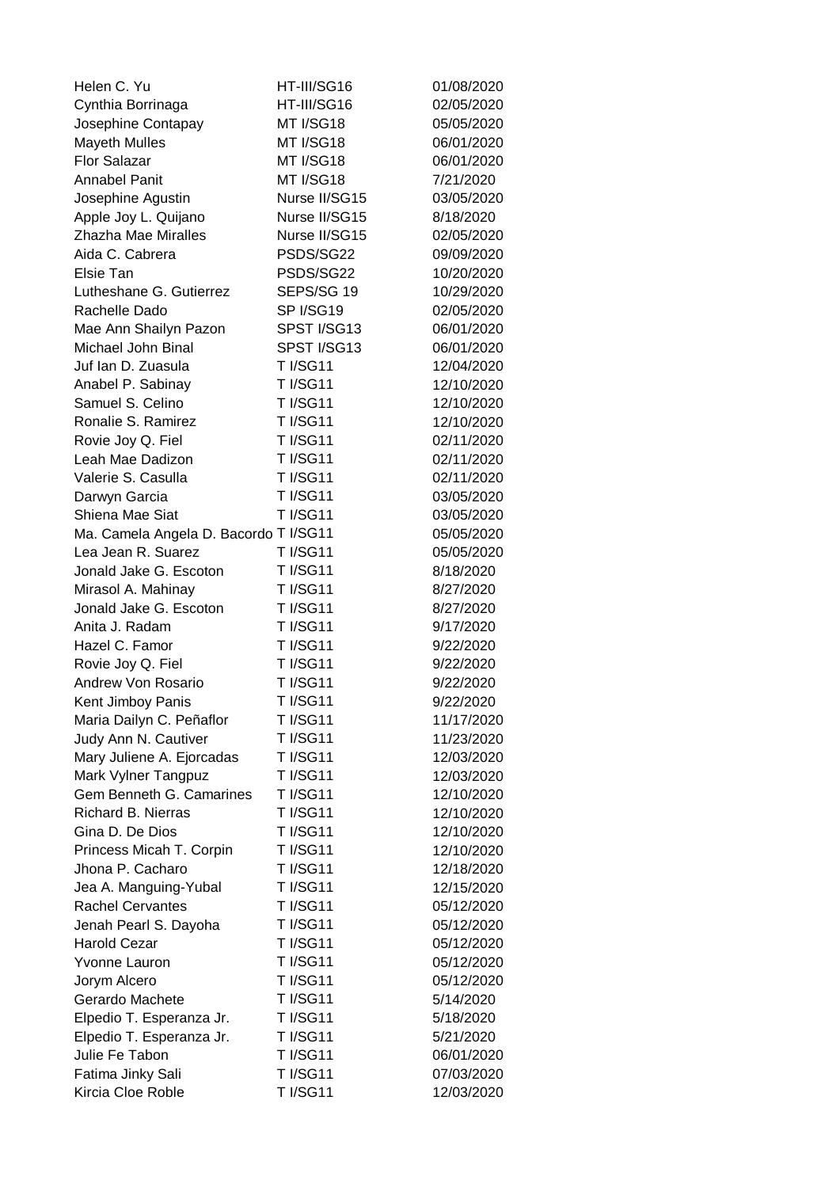| Helen C. Yu                           | HT-III/SG16     | 01/08/2020 |
|---------------------------------------|-----------------|------------|
| Cynthia Borrinaga                     | HT-III/SG16     | 02/05/2020 |
| Josephine Contapay                    | MT I/SG18       | 05/05/2020 |
| <b>Mayeth Mulles</b>                  | MT I/SG18       | 06/01/2020 |
| <b>Flor Salazar</b>                   | MT I/SG18       | 06/01/2020 |
| <b>Annabel Panit</b>                  | MT I/SG18       | 7/21/2020  |
| Josephine Agustin                     | Nurse II/SG15   | 03/05/2020 |
| Apple Joy L. Quijano                  | Nurse II/SG15   | 8/18/2020  |
| Zhazha Mae Miralles                   | Nurse II/SG15   | 02/05/2020 |
| Aida C. Cabrera                       | PSDS/SG22       | 09/09/2020 |
| Elsie Tan                             | PSDS/SG22       | 10/20/2020 |
| Lutheshane G. Gutierrez               | SEPS/SG 19      | 10/29/2020 |
| Rachelle Dado                         | SP I/SG19       | 02/05/2020 |
| Mae Ann Shailyn Pazon                 | SPST I/SG13     | 06/01/2020 |
| Michael John Binal                    | SPST I/SG13     | 06/01/2020 |
| Juf Ian D. Zuasula                    | <b>T I/SG11</b> | 12/04/2020 |
| Anabel P. Sabinay                     | <b>T I/SG11</b> | 12/10/2020 |
| Samuel S. Celino                      | <b>T I/SG11</b> | 12/10/2020 |
| Ronalie S. Ramirez                    | <b>T I/SG11</b> | 12/10/2020 |
| Rovie Joy Q. Fiel                     | <b>T I/SG11</b> | 02/11/2020 |
| Leah Mae Dadizon                      | <b>T I/SG11</b> | 02/11/2020 |
| Valerie S. Casulla                    | <b>T I/SG11</b> | 02/11/2020 |
| Darwyn Garcia                         | <b>T I/SG11</b> | 03/05/2020 |
| Shiena Mae Siat                       | <b>T I/SG11</b> | 03/05/2020 |
| Ma. Camela Angela D. Bacordo T I/SG11 |                 | 05/05/2020 |
| Lea Jean R. Suarez                    | <b>T I/SG11</b> | 05/05/2020 |
| Jonald Jake G. Escoton                | <b>T I/SG11</b> | 8/18/2020  |
| Mirasol A. Mahinay                    | <b>T I/SG11</b> | 8/27/2020  |
| Jonald Jake G. Escoton                | <b>T I/SG11</b> | 8/27/2020  |
| Anita J. Radam                        | <b>T I/SG11</b> | 9/17/2020  |
| Hazel C. Famor                        | <b>T I/SG11</b> | 9/22/2020  |
| Rovie Joy Q. Fiel                     | <b>T I/SG11</b> | 9/22/2020  |
| Andrew Von Rosario                    | <b>T I/SG11</b> | 9/22/2020  |
| Kent Jimboy Panis                     | <b>T I/SG11</b> | 9/22/2020  |
| Maria Dailyn C. Peñaflor              | <b>T I/SG11</b> | 11/17/2020 |
| Judy Ann N. Cautiver                  | <b>T I/SG11</b> | 11/23/2020 |
| Mary Juliene A. Ejorcadas             | <b>T I/SG11</b> | 12/03/2020 |
| Mark Vylner Tangpuz                   | <b>T I/SG11</b> | 12/03/2020 |
| Gem Benneth G. Camarines              | <b>T I/SG11</b> | 12/10/2020 |
| <b>Richard B. Nierras</b>             | <b>T I/SG11</b> | 12/10/2020 |
| Gina D. De Dios                       | <b>T I/SG11</b> | 12/10/2020 |
| Princess Micah T. Corpin              | <b>T I/SG11</b> | 12/10/2020 |
| Jhona P. Cacharo                      | <b>T I/SG11</b> | 12/18/2020 |
| Jea A. Manguing-Yubal                 | <b>T I/SG11</b> | 12/15/2020 |
| <b>Rachel Cervantes</b>               | <b>T I/SG11</b> | 05/12/2020 |
| Jenah Pearl S. Dayoha                 | <b>T I/SG11</b> | 05/12/2020 |
| Harold Cezar                          | <b>T I/SG11</b> | 05/12/2020 |
| Yvonne Lauron                         | <b>T I/SG11</b> | 05/12/2020 |
| Jorym Alcero                          | <b>T I/SG11</b> | 05/12/2020 |
| Gerardo Machete                       | <b>T I/SG11</b> | 5/14/2020  |
| Elpedio T. Esperanza Jr.              | <b>T I/SG11</b> | 5/18/2020  |
| Elpedio T. Esperanza Jr.              | <b>T I/SG11</b> | 5/21/2020  |
| Julie Fe Tabon                        | <b>T I/SG11</b> | 06/01/2020 |
| Fatima Jinky Sali                     | <b>T I/SG11</b> | 07/03/2020 |
| Kircia Cloe Roble                     | <b>T I/SG11</b> | 12/03/2020 |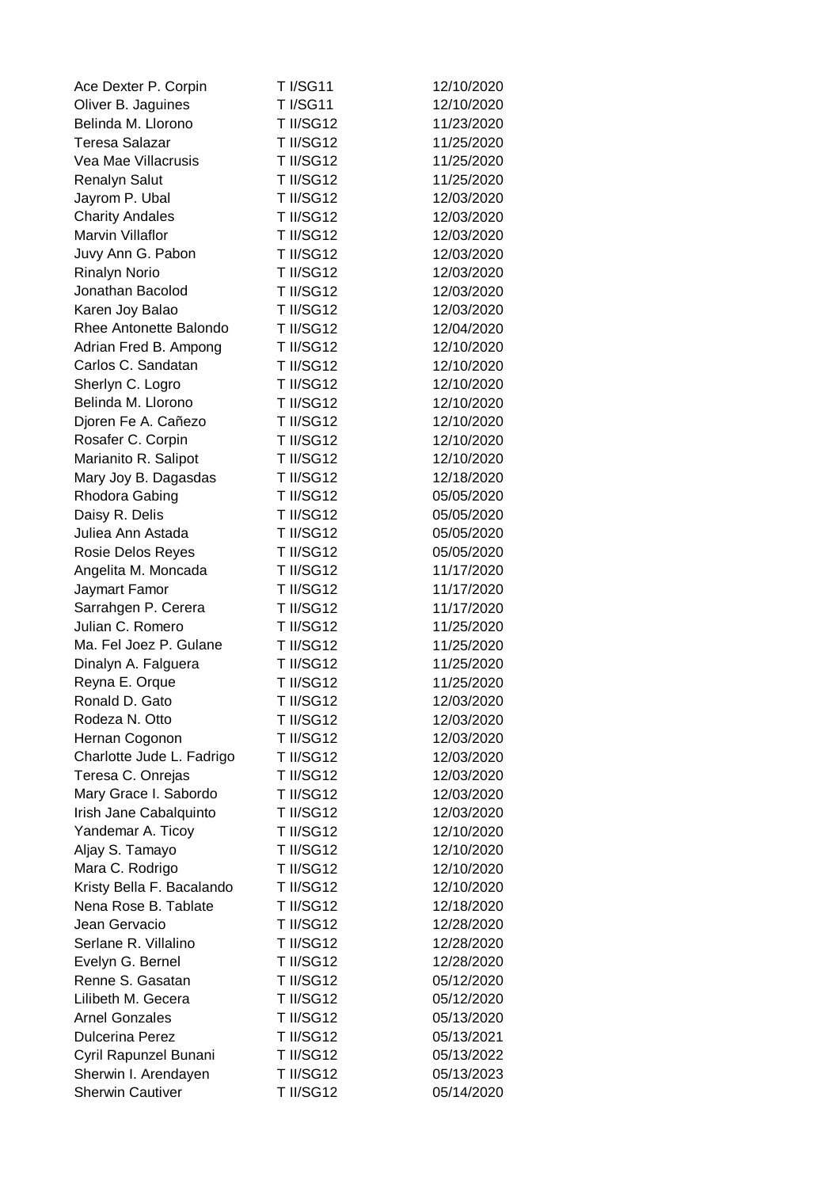| Ace Dexter P. Corpin      | <b>T</b> I/SG11  | 12/10/2020 |
|---------------------------|------------------|------------|
| Oliver B. Jaguines        | <b>T I/SG11</b>  | 12/10/2020 |
| Belinda M. Llorono        | <b>T II/SG12</b> | 11/23/2020 |
| <b>Teresa Salazar</b>     | T II/SG12        | 11/25/2020 |
| Vea Mae Villacrusis       | T II/SG12        | 11/25/2020 |
| <b>Renalyn Salut</b>      | T II/SG12        | 11/25/2020 |
| Jayrom P. Ubal            | T II/SG12        | 12/03/2020 |
| <b>Charity Andales</b>    | <b>T II/SG12</b> | 12/03/2020 |
| <b>Marvin Villaflor</b>   | T II/SG12        | 12/03/2020 |
| Juvy Ann G. Pabon         | <b>T II/SG12</b> | 12/03/2020 |
| <b>Rinalyn Norio</b>      | T II/SG12        | 12/03/2020 |
| Jonathan Bacolod          | T II/SG12        | 12/03/2020 |
| Karen Joy Balao           | <b>T II/SG12</b> | 12/03/2020 |
| Rhee Antonette Balondo    | <b>T II/SG12</b> | 12/04/2020 |
| Adrian Fred B. Ampong     | <b>T II/SG12</b> | 12/10/2020 |
| Carlos C. Sandatan        | T II/SG12        | 12/10/2020 |
| Sherlyn C. Logro          | T II/SG12        | 12/10/2020 |
| Belinda M. Llorono        | <b>T II/SG12</b> | 12/10/2020 |
| Djoren Fe A. Cañezo       | T II/SG12        | 12/10/2020 |
| Rosafer C. Corpin         | <b>T II/SG12</b> | 12/10/2020 |
| Marianito R. Salipot      | T II/SG12        | 12/10/2020 |
| Mary Joy B. Dagasdas      | T II/SG12        | 12/18/2020 |
| Rhodora Gabing            | <b>T II/SG12</b> | 05/05/2020 |
| Daisy R. Delis            | <b>T II/SG12</b> | 05/05/2020 |
| Juliea Ann Astada         | <b>T II/SG12</b> | 05/05/2020 |
| Rosie Delos Reyes         | T II/SG12        | 05/05/2020 |
| Angelita M. Moncada       | T II/SG12        | 11/17/2020 |
| Jaymart Famor             | <b>T II/SG12</b> | 11/17/2020 |
| Sarrahgen P. Cerera       | <b>T II/SG12</b> | 11/17/2020 |
| Julian C. Romero          | <b>T II/SG12</b> | 11/25/2020 |
| Ma. Fel Joez P. Gulane    | <b>T II/SG12</b> | 11/25/2020 |
| Dinalyn A. Falguera       | T II/SG12        | 11/25/2020 |
| Reyna E. Orque            | <b>T II/SG12</b> | 11/25/2020 |
| Ronald D. Gato            | T II/SG12        | 12/03/2020 |
| Rodeza N. Otto            | <b>T II/SG12</b> | 12/03/2020 |
| Hernan Cogonon            | <b>T II/SG12</b> | 12/03/2020 |
| Charlotte Jude L. Fadrigo | <b>T II/SG12</b> | 12/03/2020 |
| Teresa C. Onrejas         | <b>T II/SG12</b> | 12/03/2020 |
| Mary Grace I. Sabordo     | T II/SG12        | 12/03/2020 |
| Irish Jane Cabalquinto    | T II/SG12        | 12/03/2020 |
| Yandemar A. Ticoy         | T II/SG12        | 12/10/2020 |
| Aljay S. Tamayo           | T II/SG12        | 12/10/2020 |
| Mara C. Rodrigo           | T II/SG12        | 12/10/2020 |
| Kristy Bella F. Bacalando | T II/SG12        | 12/10/2020 |
| Nena Rose B. Tablate      | T II/SG12        | 12/18/2020 |
| Jean Gervacio             | T II/SG12        | 12/28/2020 |
| Serlane R. Villalino      | <b>T II/SG12</b> | 12/28/2020 |
| Evelyn G. Bernel          | <b>T II/SG12</b> | 12/28/2020 |
| Renne S. Gasatan          | <b>T II/SG12</b> | 05/12/2020 |
| Lilibeth M. Gecera        | <b>T II/SG12</b> | 05/12/2020 |
| <b>Arnel Gonzales</b>     | T II/SG12        | 05/13/2020 |
| <b>Dulcerina Perez</b>    | T II/SG12        | 05/13/2021 |
| Cyril Rapunzel Bunani     | T II/SG12        | 05/13/2022 |
| Sherwin I. Arendayen      | T II/SG12        | 05/13/2023 |
| <b>Sherwin Cautiver</b>   | <b>T II/SG12</b> | 05/14/2020 |
|                           |                  |            |